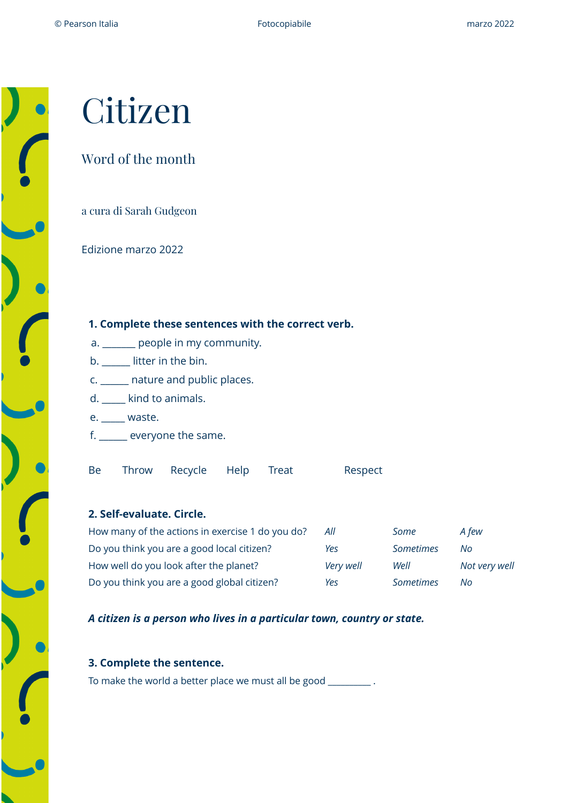# Citizen

## Word of the month

a cura di Sarah Gudgeon

Edizione marzo 2022

#### **1. Complete these sentences with the correct verb.**

- a. \_\_\_\_\_\_\_ people in my community.
- b. litter in the bin.
- c. \_\_\_\_\_\_ nature and public places.
- d. \_\_\_\_\_ kind to animals.
- e. \_\_\_\_\_ waste.
- f. \_\_\_\_\_\_ everyone the same.

Be Throw Recycle Help Treat Respect

#### **2. Self-evaluate. Circle.**

| How many of the actions in exercise 1 do you do? | All       | Some             | A few         |
|--------------------------------------------------|-----------|------------------|---------------|
| Do you think you are a good local citizen?       | Yes       | Sometimes        | No.           |
| How well do you look after the planet?           | Very well | Well             | Not very well |
| Do you think you are a good global citizen?      | Yes       | <b>Sometimes</b> | No            |

*A citizen is a person who lives in a particular town, country or state.* 

#### **3. Complete the sentence.**

To make the world a better place we must all be good \_\_\_\_\_\_\_\_\_\_ .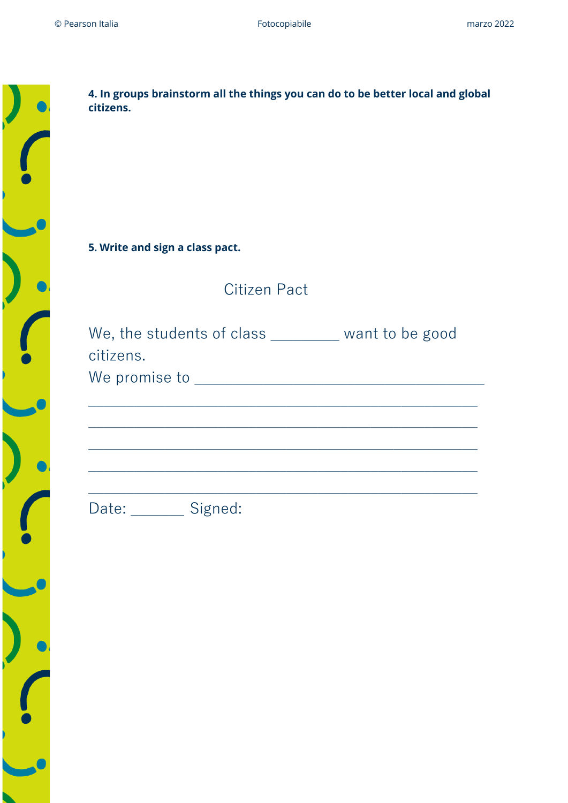| 4.<br>ci                                 |
|------------------------------------------|
|                                          |
| 5.                                       |
|                                          |
| $\sqrt{ }$<br>$\mathsf{C}$<br>$\sqrt{ }$ |
|                                          |
|                                          |
| Г                                        |
|                                          |
|                                          |
|                                          |
|                                          |

| 4. In groups brainstorm all the things you can do to be better local and global<br>citizens.                                                        |
|-----------------------------------------------------------------------------------------------------------------------------------------------------|
| 5. Write and sign a class pact.                                                                                                                     |
| Citizen Pact                                                                                                                                        |
| We, the students of class _______ want to be good<br>citizens.<br>,我们也不能在这里的时候,我们也不能在这里的时候,我们也不能会在这里的时候,我们也不能会在这里的时候,我们也不能会在这里的时候,我们也不能会在这里的时候,我们也不 |
| Date: Signed:                                                                                                                                       |